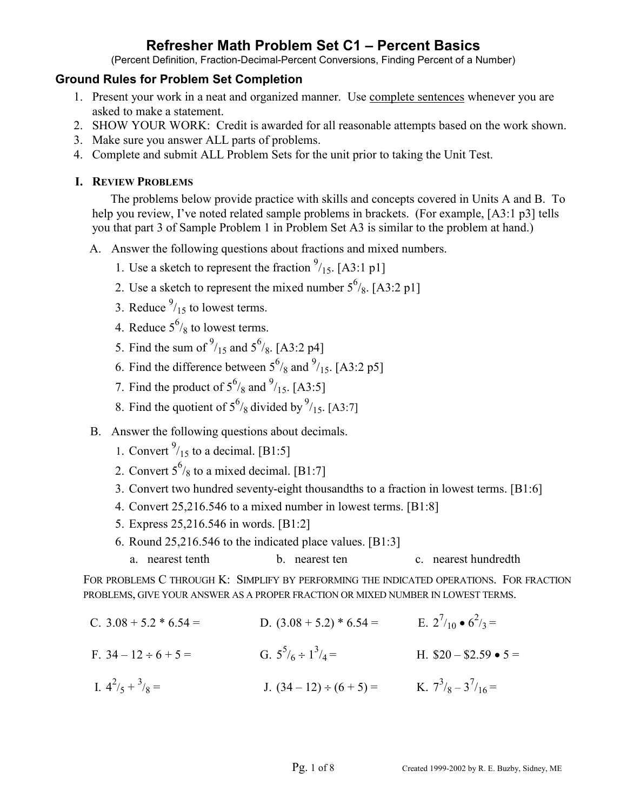(Percent Definition, Fraction-Decimal-Percent Conversions, Finding Percent of a Number)

## **Ground Rules for Problem Set Completion**

- 1. Present your work in a neat and organized manner. Use complete sentences whenever you are asked to make a statement.
- 2. SHOW YOUR WORK: Credit is awarded for all reasonable attempts based on the work shown.
- 3. Make sure you answer ALL parts of problems.
- 4. Complete and submit ALL Problem Sets for the unit prior to taking the Unit Test.

## **I. REVIEW PROBLEMS**

The problems below provide practice with skills and concepts covered in Units A and B. To help you review, I've noted related sample problems in brackets. (For example, [A3:1 p3] tells you that part 3 of Sample Problem 1 in Problem Set A3 is similar to the problem at hand.)

- A. Answer the following questions about fractions and mixed numbers.
	- 1. Use a sketch to represent the fraction  $\frac{9}{15}$ . [A3:1 p1]
	- 2. Use a sketch to represent the mixed number  $5^{6}/_8$ . [A3:2 p1]
	- 3. Reduce  $\frac{9}{15}$  to lowest terms.
	- 4. Reduce  $5^6$ /<sub>8</sub> to lowest terms.
	- 5. Find the sum of  $\frac{9}{15}$  and  $5\frac{6}{8}$ . [A3:2 p4]
	- 6. Find the difference between  $5^{6}/_8$  and  $^{9}/_{15}$ . [A3:2 p5]
	- 7. Find the product of  $5^{6}/_8$  and  $^{9}/_{15}$ . [A3:5]
	- 8. Find the quotient of  $5^{6}/_8$  divided by  $\frac{9}{15}$ . [A3:7]
- B. Answer the following questions about decimals.
	- 1. Convert  $\frac{9}{15}$  to a decimal. [B1:5]
	- 2. Convert  $5^6$ /<sub>8</sub> to a mixed decimal. [B1:7]
		- 3. Convert two hundred seventy-eight thousandths to a fraction in lowest terms. [B1:6]
		- 4. Convert 25,216.546 to a mixed number in lowest terms. [B1:8]
		- 5. Express 25,216.546 in words. [B1:2]
		- 6. Round 25,216.546 to the indicated place values. [B1:3]

a. nearest tenth b. nearest ten c. nearest hundredth

FOR PROBLEMS C THROUGH K: SIMPLIFY BY PERFORMING THE INDICATED OPERATIONS. FOR FRACTION PROBLEMS, GIVE YOUR ANSWER AS A PROPER FRACTION OR MIXED NUMBER IN LOWEST TERMS.

C.  $3.08 + 5.2 * 6.54 =$  D.  $(3.08 + 5.2) * 6.54 =$  E.  $2^{7}/_{10} \cdot 6^{2}/_{3} =$ F.  $34 - 12 \div 6 + 5 =$ G.  $5^5/6 \div 1^3/4 =$ H.  $$20 - $2.59 \bullet 5 =$ I.  $4^2/5 + 3$  $V_8 =$  J.  $(34-12) \div (6+5) =$  K.  $7^3 / _8 - 3^7 / _{16} =$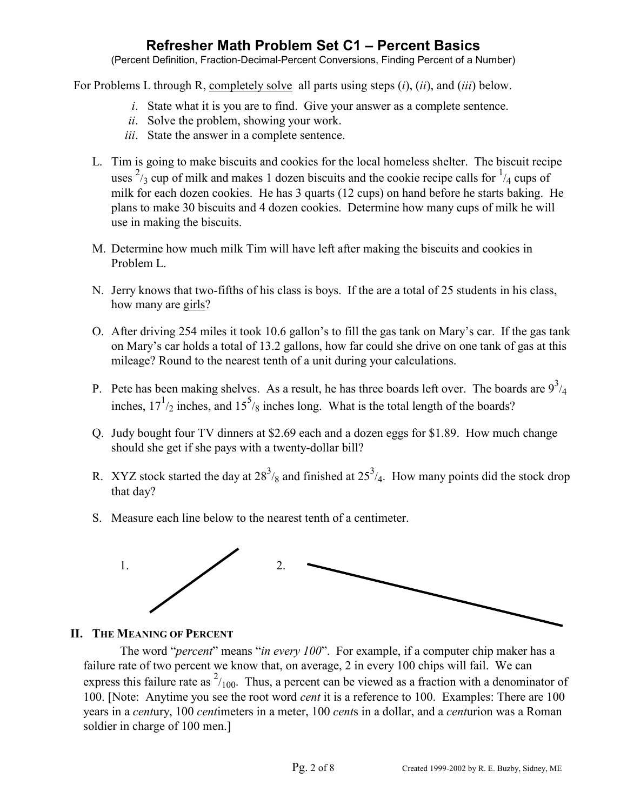(Percent Definition, Fraction-Decimal-Percent Conversions, Finding Percent of a Number)

For Problems L through R, completely solve all parts using steps (*i*), (*ii*), and (*iii*) below.

- *i*. State what it is you are to find. Give your answer as a complete sentence.
- *ii*. Solve the problem, showing your work.
- *iii*. State the answer in a complete sentence.
- L. Tim is going to make biscuits and cookies for the local homeless shelter. The biscuit recipe uses  $\frac{2}{3}$  cup of milk and makes 1 dozen biscuits and the cookie recipe calls for  $\frac{1}{4}$  cups of milk for each dozen cookies. He has 3 quarts (12 cups) on hand before he starts baking. He plans to make 30 biscuits and 4 dozen cookies. Determine how many cups of milk he will use in making the biscuits.
- M. Determine how much milk Tim will have left after making the biscuits and cookies in Problem L.
- N. Jerry knows that two-fifths of his class is boys. If the are a total of 25 students in his class, how many are girls?
- O. After driving 254 miles it took 10.6 gallon's to fill the gas tank on Mary's car. If the gas tank on Mary's car holds a total of 13.2 gallons, how far could she drive on one tank of gas at this mileage? Round to the nearest tenth of a unit during your calculations.
- P. Pete has been making shelves. As a result, he has three boards left over. The boards are  $9^{3}/_{4}$ inches,  $17^{1/2}$  inches, and  $15^{5/8}$  inches long. What is the total length of the boards?
- Q. Judy bought four TV dinners at \$2.69 each and a dozen eggs for \$1.89. How much change should she get if she pays with a twenty-dollar bill?
- R. XYZ stock started the day at  $28^3$ /<sub>8</sub> and finished at  $25^3$ /<sub>4</sub>. How many points did the stock drop that day?
- S. Measure each line below to the nearest tenth of a centimeter.



## **II. THE MEANING OF PERCENT**

The word "*percent*" means "*in every 100*". For example, if a computer chip maker has a failure rate of two percent we know that, on average, 2 in every 100 chips will fail. We can express this failure rate as  $\frac{2}{100}$ . Thus, a percent can be viewed as a fraction with a denominator of 100. [Note: Anytime you see the root word *cent* it is a reference to 100. Examples: There are 100 years in a *cent*ury, 100 *cent*imeters in a meter, 100 *cent*s in a dollar, and a *cent*urion was a Roman soldier in charge of 100 men.]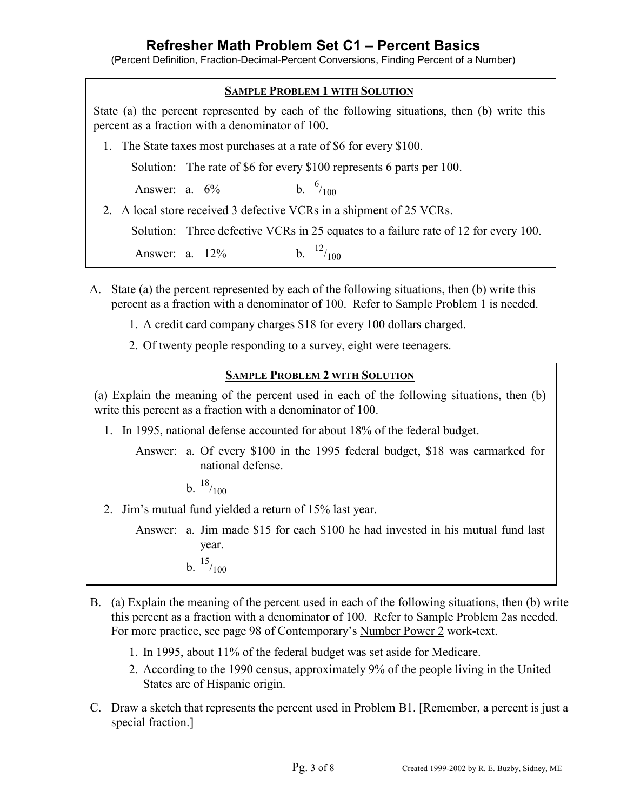(Percent Definition, Fraction-Decimal-Percent Conversions, Finding Percent of a Number)



- A. State (a) the percent represented by each of the following situations, then (b) write this percent as a fraction with a denominator of 100. Refer to Sample Problem 1 is needed.
	- 1. A credit card company charges \$18 for every 100 dollars charged.
	- 2. Of twenty people responding to a survey, eight were teenagers.

## **SAMPLE PROBLEM 2 WITH SOLUTION**

(a) Explain the meaning of the percent used in each of the following situations, then (b) write this percent as a fraction with a denominator of 100.

1. In 1995, national defense accounted for about 18% of the federal budget.

 Answer: a. Of every \$100 in the 1995 federal budget, \$18 was earmarked for national defense.

b.  $18/100$ 

- 2. Jim's mutual fund yielded a return of 15% last year.
	- Answer: a. Jim made \$15 for each \$100 he had invested in his mutual fund last year.
		- b.  $15/100$
- B. (a) Explain the meaning of the percent used in each of the following situations, then (b) write this percent as a fraction with a denominator of 100. Refer to Sample Problem 2as needed. For more practice, see page 98 of Contemporary's Number Power 2 work-text.
	- 1. In 1995, about 11% of the federal budget was set aside for Medicare.
	- 2. According to the 1990 census, approximately 9% of the people living in the United States are of Hispanic origin.
- C. Draw a sketch that represents the percent used in Problem B1. [Remember, a percent is just a special fraction.]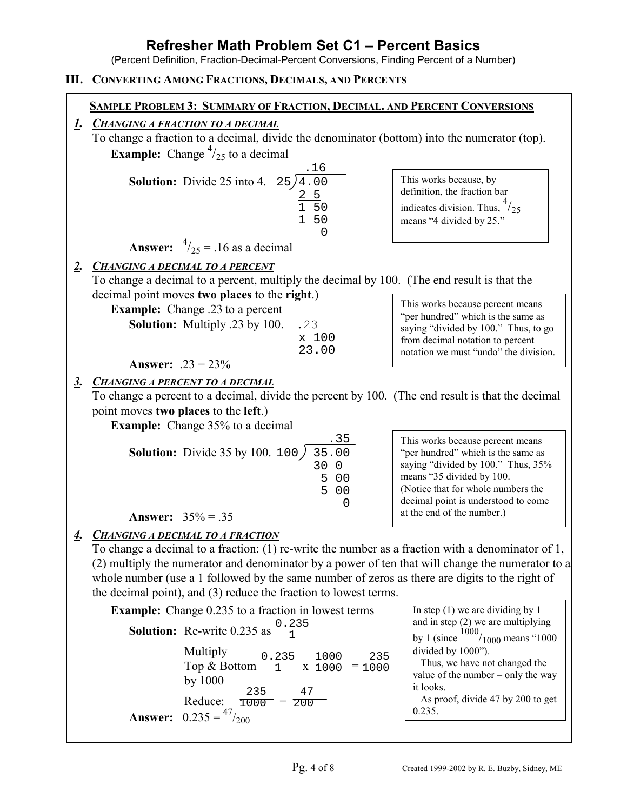(Percent Definition, Fraction-Decimal-Percent Conversions, Finding Percent of a Number)

## **III. CONVERTING AMONG FRACTIONS, DECIMALS, AND PERCENTS**

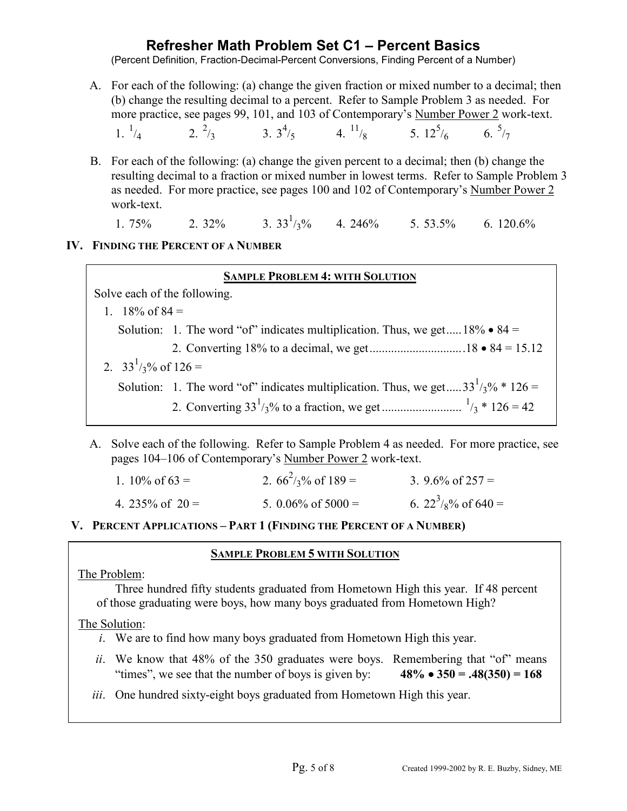(Percent Definition, Fraction-Decimal-Percent Conversions, Finding Percent of a Number)

 A. For each of the following: (a) change the given fraction or mixed number to a decimal; then (b) change the resulting decimal to a percent. Refer to Sample Problem 3 as needed. For more practice, see pages 99, 101, and 103 of Contemporary's Number Power 2 work-text.

 $1.\, {}^{1}_{4}$  $/4$  2.  $\frac{2}{3}$  3.  $3\frac{4}{5}$  4.  $\frac{11}{8}$  5.  $12^5$  $/6$  6.  $\frac{5}{7}$ 

 B. For each of the following: (a) change the given percent to a decimal; then (b) change the resulting decimal to a fraction or mixed number in lowest terms. Refer to Sample Problem 3 as needed. For more practice, see pages 100 and 102 of Contemporary's Number Power 2 work-text.

1. 75% 2. 32% 3.  $33^{1}/3\%$  4. 246% 5. 53.5% 6. 120.6%

### **IV. FINDING THE PERCENT OF A NUMBER**

#### **SAMPLE PROBLEM 4: WITH SOLUTION**

Solve each of the following.

- 1.  $18\%$  of  $84 =$ Solution: 1. The word "of" indicates multiplication. Thus, we get.....  $18\% \cdot 84 =$ 2. Converting 18% to a decimal, we get...............................18 • 84 = 15.12
- 2.  $33^{1/3}$ % of 126 = Solution: 1. The word "of" indicates multiplication. Thus, we get.....  $33^{1/3}$ % \* 126 = 2. Converting 33<sup>1</sup> /3% to a fraction, we get .......................... <sup>1</sup> /3 \* 126 = 42
- A. Solve each of the following. Refer to Sample Problem 4 as needed. For more practice, see pages 104–106 of Contemporary's Number Power 2 work-text.

| 1. 10\% of $63 =$  | 2. $66^2$ /3% of 189 = | 3. 9.6% of $257 =$                  |  |
|--------------------|------------------------|-------------------------------------|--|
| 4. 235\% of $20 =$ | 5. 0.06% of $5000 =$   | 6. $22^3$ / <sub>8</sub> % of 640 = |  |

 **V. PERCENT APPLICATIONS – PART 1 (FINDING THE PERCENT OF A NUMBER)** 

### **SAMPLE PROBLEM 5 WITH SOLUTION**

### The Problem:

Three hundred fifty students graduated from Hometown High this year. If 48 percent of those graduating were boys, how many boys graduated from Hometown High?

### The Solution:

- *i*. We are to find how many boys graduated from Hometown High this year.
- *ii*. We know that 48% of the 350 graduates were boys. Remembering that "of" means "times", we see that the number of boys is given by:  $48\% \cdot 350 = .48(350) = 168$
- *iii*. One hundred sixty-eight boys graduated from Hometown High this year.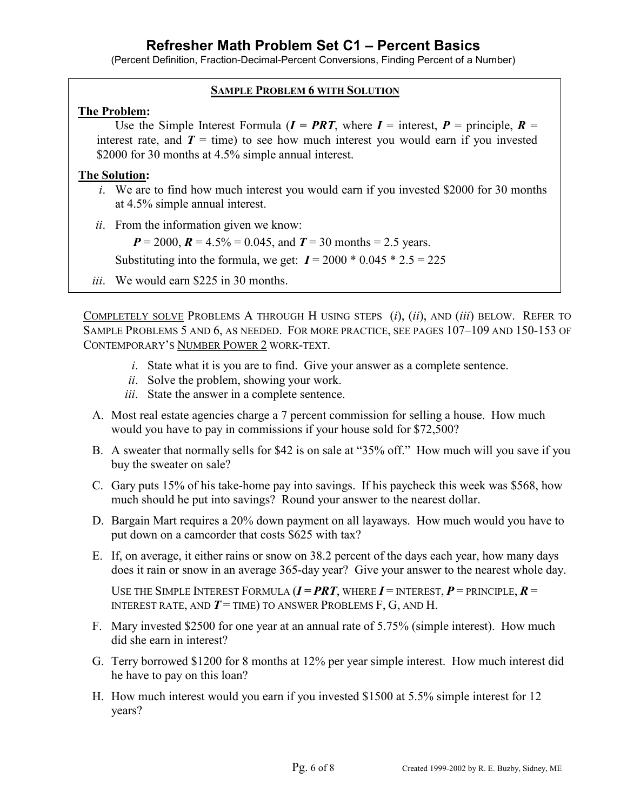(Percent Definition, Fraction-Decimal-Percent Conversions, Finding Percent of a Number)

### **SAMPLE PROBLEM 6 WITH SOLUTION**

### **The Problem:**

Use the Simple Interest Formula  $(I = PRT)$ , where  $I =$  interest,  $P =$  principle,  $R =$ interest rate, and  $T =$  time) to see how much interest you would earn if you invested \$2000 for 30 months at 4.5% simple annual interest.

### **The Solution:**

- *i*. We are to find how much interest you would earn if you invested \$2000 for 30 months at 4.5% simple annual interest.
- *ii*. From the information given we know:

 $P = 2000$ ,  $R = 4.5\% = 0.045$ , and  $T = 30$  months = 2.5 years.

Substituting into the formula, we get:  $I = 2000 * 0.045 * 2.5 = 225$ 

*iii*. We would earn \$225 in 30 months.

COMPLETELY SOLVE PROBLEMS A THROUGH H USING STEPS (*i*), (*ii*), AND (*iii*) BELOW. REFER TO SAMPLE PROBLEMS 5 AND 6, AS NEEDED. FOR MORE PRACTICE, SEE PAGES 107–109 AND 150-153 OF CONTEMPORARY'S NUMBER POWER 2 WORK-TEXT.

- *i*. State what it is you are to find. Give your answer as a complete sentence.
- *ii*. Solve the problem, showing your work.
- *iii*. State the answer in a complete sentence.
- A. Most real estate agencies charge a 7 percent commission for selling a house. How much would you have to pay in commissions if your house sold for \$72,500?
- B. A sweater that normally sells for \$42 is on sale at "35% off." How much will you save if you buy the sweater on sale?
- C. Gary puts 15% of his take-home pay into savings. If his paycheck this week was \$568, how much should he put into savings? Round your answer to the nearest dollar.
- D. Bargain Mart requires a 20% down payment on all layaways. How much would you have to put down on a camcorder that costs \$625 with tax?
- E. If, on average, it either rains or snow on 38.2 percent of the days each year, how many days does it rain or snow in an average 365-day year? Give your answer to the nearest whole day.

USE THE SIMPLE INTEREST FORMULA  $(I = PRT)$ , WHERE  $I = INTEREST$ ,  $P = PRINCIPLE$ ,  $R =$ INTEREST RATE, AND  $T$  = TIME) TO ANSWER PROBLEMS F, G, AND H.

- F. Mary invested \$2500 for one year at an annual rate of 5.75% (simple interest). How much did she earn in interest?
- G. Terry borrowed \$1200 for 8 months at 12% per year simple interest. How much interest did he have to pay on this loan?
- H. How much interest would you earn if you invested \$1500 at 5.5% simple interest for 12 years?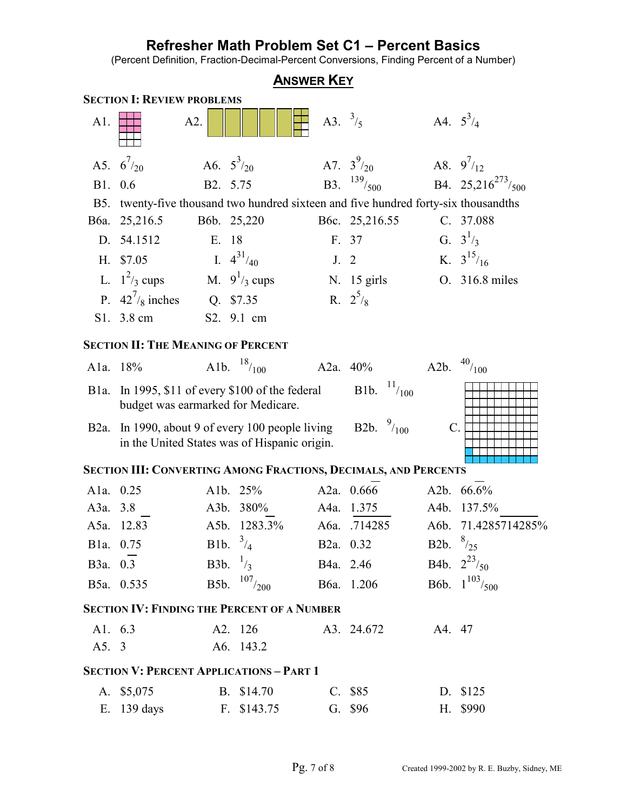(Percent Definition, Fraction-Decimal-Percent Conversions, Finding Percent of a Number)

| <b>ANSWER KEY</b>                                               |                                                                                             |                   |                      |                 |                              |                     |                                            |  |  |  |
|-----------------------------------------------------------------|---------------------------------------------------------------------------------------------|-------------------|----------------------|-----------------|------------------------------|---------------------|--------------------------------------------|--|--|--|
| <b>SECTION I: REVIEW PROBLEMS</b>                               |                                                                                             |                   |                      |                 |                              |                     |                                            |  |  |  |
| A1.                                                             | A2.                                                                                         |                   |                      | A3. $^{3}/_{5}$ |                              | A4. $5^{3}/_{4}$    |                                            |  |  |  |
|                                                                 | A5. $6^{7}/_{20}$                                                                           | A6. $5^{3}/_{20}$ |                      |                 | A7. $3^{9}/_{20}$            |                     | A8. $9^{7}/_{12}$                          |  |  |  |
| B1. 0.6                                                         |                                                                                             | B2. 5.75          |                      |                 | <b>B3.</b> $^{139}/_{500}$   |                     | B4. 25,216 <sup>273</sup> / <sub>500</sub> |  |  |  |
|                                                                 | B5. twenty-five thousand two hundred sixteen and five hundred forty-six thousandths         |                   |                      |                 |                              |                     |                                            |  |  |  |
|                                                                 | B6a. 25,216.5                                                                               | B6b. 25,220       |                      |                 | B6c. 25,216.55               |                     | C. 37.088                                  |  |  |  |
|                                                                 | D. 54.1512                                                                                  | E. 18             |                      | F. 37           |                              |                     | G. $3^{1/3}$                               |  |  |  |
|                                                                 | H. \$7.05                                                                                   | I. $4^{31}/40$    |                      | J. 2            |                              |                     | K. $3^{15}/16$                             |  |  |  |
|                                                                 | L. $1^2$ / <sub>3</sub> cups                                                                |                   | M. $9^{1}/_{3}$ cups |                 | N. 15 girls                  |                     | O. 316.8 miles                             |  |  |  |
|                                                                 | P. $42^7$ / <sub>8</sub> inches                                                             |                   | Q. \$7.35            | R. $2^5$ /8     |                              |                     |                                            |  |  |  |
|                                                                 | S1. 3.8 cm                                                                                  |                   | S2. 9.1 cm           |                 |                              |                     |                                            |  |  |  |
| <b>SECTION II: THE MEANING OF PERCENT</b>                       |                                                                                             |                   |                      |                 |                              |                     |                                            |  |  |  |
|                                                                 | A1a. 18%                                                                                    |                   | Alb. $^{18}/_{100}$  |                 | A2a. 40%                     | A2b. $^{40}/_{100}$ |                                            |  |  |  |
| Bla.                                                            | In 1995, $$11$ of every $$100$ of the federal<br>budget was earmarked for Medicare.         |                   |                      |                 | <b>B1b.</b> $\frac{11}{100}$ |                     |                                            |  |  |  |
| $B2a$ .                                                         | In 1990, about 9 of every 100 people living<br>in the United States was of Hispanic origin. |                   |                      |                 | B2b. $\frac{9}{100}$         | $C_{\cdot}$         |                                            |  |  |  |
| SECTION III: CONVERTING AMONG FRACTIONS, DECIMALS, AND PERCENTS |                                                                                             |                   |                      |                 |                              |                     |                                            |  |  |  |
| A1a. 0.25                                                       |                                                                                             | Alb. 25%          |                      |                 | A2a. 0.666                   |                     | A2b. 66.6%                                 |  |  |  |
| A3a. 3.8                                                        |                                                                                             |                   | A3b. 380%            |                 | A4a. 1.375                   |                     | A4b. 137.5%                                |  |  |  |
|                                                                 | A5a. 12.83                                                                                  |                   | A5b. 1283.3%         |                 | A6a. .714285                 |                     | A6b. 71.4285714285%                        |  |  |  |
|                                                                 | Bla. 0.75                                                                                   | B1b. $^{3}/_{4}$  |                      |                 | B <sub>2</sub> a. 0.32       | B2b. $\frac{8}{25}$ |                                            |  |  |  |
|                                                                 | B3a. 0.3                                                                                    |                   | B3b. $\frac{1}{3}$   |                 | B4a. 2.46                    |                     | B4b. $2^{23}/_{50}$                        |  |  |  |
|                                                                 | B5a. 0.535                                                                                  |                   | B5b. $107/200$       |                 | B6a. 1.206                   |                     | B6b. $1^{103}/_{500}$                      |  |  |  |
| <b>SECTION IV: FINDING THE PERCENT OF A NUMBER</b>              |                                                                                             |                   |                      |                 |                              |                     |                                            |  |  |  |
| A1. 6.3                                                         |                                                                                             |                   | A2. 126              |                 | A3. 24.672                   | A4. 47              |                                            |  |  |  |
| A5. 3                                                           |                                                                                             |                   | A6. 143.2            |                 |                              |                     |                                            |  |  |  |
| <b>SECTION V: PERCENT APPLICATIONS - PART 1</b>                 |                                                                                             |                   |                      |                 |                              |                     |                                            |  |  |  |
|                                                                 | A. \$5,075                                                                                  |                   | B. \$14.70           |                 | C. \$85                      |                     | D. \$125                                   |  |  |  |
| E.                                                              | 139 days                                                                                    |                   | F. \$143.75          |                 | G. \$96                      |                     | H. \$990                                   |  |  |  |